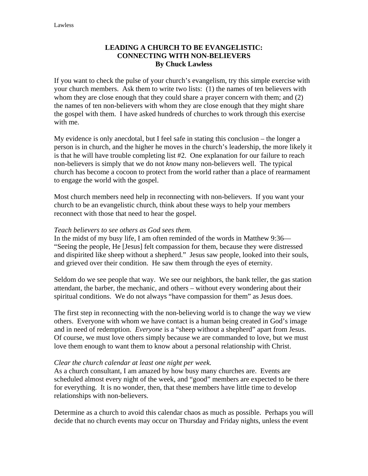## **LEADING A CHURCH TO BE EVANGELISTIC: CONNECTING WITH NON-BELIEVERS By Chuck Lawless**

If you want to check the pulse of your church's evangelism, try this simple exercise with your church members. Ask them to write two lists: (1) the names of ten believers with whom they are close enough that they could share a prayer concern with them; and (2) the names of ten non-believers with whom they are close enough that they might share the gospel with them. I have asked hundreds of churches to work through this exercise with me.

My evidence is only anecdotal, but I feel safe in stating this conclusion – the longer a person is in church, and the higher he moves in the church's leadership, the more likely it is that he will have trouble completing list #2. One explanation for our failure to reach non-believers is simply that we do not *know* many non-believers well. The typical church has become a cocoon to protect from the world rather than a place of rearmament to engage the world with the gospel.

Most church members need help in reconnecting with non-believers. If you want your church to be an evangelistic church, think about these ways to help your members reconnect with those that need to hear the gospel.

#### *Teach believers to see others as God sees them.*

In the midst of my busy life, I am often reminded of the words in Matthew 9:36— "Seeing the people, He [Jesus] felt compassion for them, because they were distressed and dispirited like sheep without a shepherd." Jesus saw people, looked into their souls, and grieved over their condition. He saw them through the eyes of eternity.

Seldom do we see people that way. We see our neighbors, the bank teller, the gas station attendant, the barber, the mechanic, and others – without every wondering about their spiritual conditions. We do not always "have compassion for them" as Jesus does.

The first step in reconnecting with the non-believing world is to change the way we view others. Everyone with whom we have contact is a human being created in God's image and in need of redemption. *Everyone* is a "sheep without a shepherd" apart from Jesus. Of course, we must love others simply because we are commanded to love, but we must love them enough to want them to know about a personal relationship with Christ.

#### *Clear the church calendar at least one night per week.*

As a church consultant, I am amazed by how busy many churches are. Events are scheduled almost every night of the week, and "good" members are expected to be there for everything. It is no wonder, then, that these members have little time to develop relationships with non-believers.

Determine as a church to avoid this calendar chaos as much as possible. Perhaps you will decide that no church events may occur on Thursday and Friday nights, unless the event